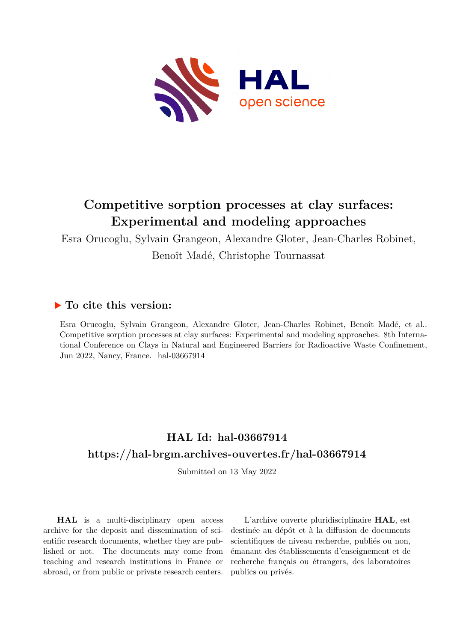

## **Competitive sorption processes at clay surfaces: Experimental and modeling approaches**

Esra Orucoglu, Sylvain Grangeon, Alexandre Gloter, Jean-Charles Robinet, Benoît Madé, Christophe Tournassat

#### **To cite this version:**

Esra Orucoglu, Sylvain Grangeon, Alexandre Gloter, Jean-Charles Robinet, Benoît Madé, et al.. Competitive sorption processes at clay surfaces: Experimental and modeling approaches. 8th International Conference on Clays in Natural and Engineered Barriers for Radioactive Waste Confinement, Jun 2022, Nancy, France. hal-03667914

### **HAL Id: hal-03667914 <https://hal-brgm.archives-ouvertes.fr/hal-03667914>**

Submitted on 13 May 2022

**HAL** is a multi-disciplinary open access archive for the deposit and dissemination of scientific research documents, whether they are published or not. The documents may come from teaching and research institutions in France or abroad, or from public or private research centers.

L'archive ouverte pluridisciplinaire **HAL**, est destinée au dépôt et à la diffusion de documents scientifiques de niveau recherche, publiés ou non, émanant des établissements d'enseignement et de recherche français ou étrangers, des laboratoires publics ou privés.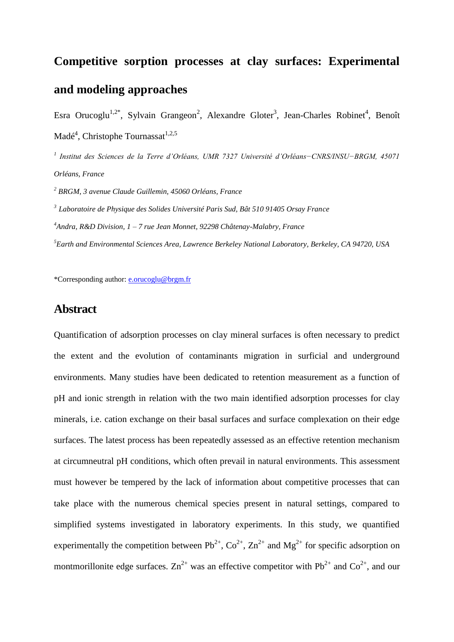# **Competitive sorption processes at clay surfaces: Experimental and modeling approaches**

Esra Orucoglu<sup>1,2\*</sup>, Sylvain Grangeon<sup>2</sup>, Alexandre Gloter<sup>3</sup>, Jean-Charles Robinet<sup>4</sup>, Benoît Madé<sup>4</sup>, Christophe Tournassat<sup>1,2,5</sup>

*1 Institut des Sciences de la Terre d'Orléans, UMR 7327 Université d'Orléans−CNRS/INSU−BRGM, 45071 Orléans, France*

*<sup>2</sup> BRGM, 3 avenue Claude Guillemin, 45060 Orléans, France* 

*3 Laboratoire de Physique des Solides Université Paris Sud, Bât 510 91405 Orsay France*

*<sup>4</sup>Andra, R&D Division, 1 – 7 rue Jean Monnet, 92298 Châtenay-Malabry, France*

*<sup>5</sup>Earth and Environmental Sciences Area, Lawrence Berkeley National Laboratory, Berkeley, CA 94720, USA*

\*Corresponding author: [e.orucoglu@brgm.fr](mailto:e.orucoglu@brgm.fr)

#### **Abstract**

Quantification of adsorption processes on clay mineral surfaces is often necessary to predict the extent and the evolution of contaminants migration in surficial and underground environments. Many studies have been dedicated to retention measurement as a function of pH and ionic strength in relation with the two main identified adsorption processes for clay minerals, i.e. cation exchange on their basal surfaces and surface complexation on their edge surfaces. The latest process has been repeatedly assessed as an effective retention mechanism at circumneutral pH conditions, which often prevail in natural environments. This assessment must however be tempered by the lack of information about competitive processes that can take place with the numerous chemical species present in natural settings, compared to simplified systems investigated in laboratory experiments. In this study, we quantified experimentally the competition between  $Pb^{2+}$ ,  $Co^{2+}$ ,  $Zn^{2+}$  and  $Mg^{2+}$  for specific adsorption on montmorillonite edge surfaces.  $\text{Zn}^{2+}$  was an effective competitor with Pb<sup>2+</sup> and Co<sup>2+</sup>, and our